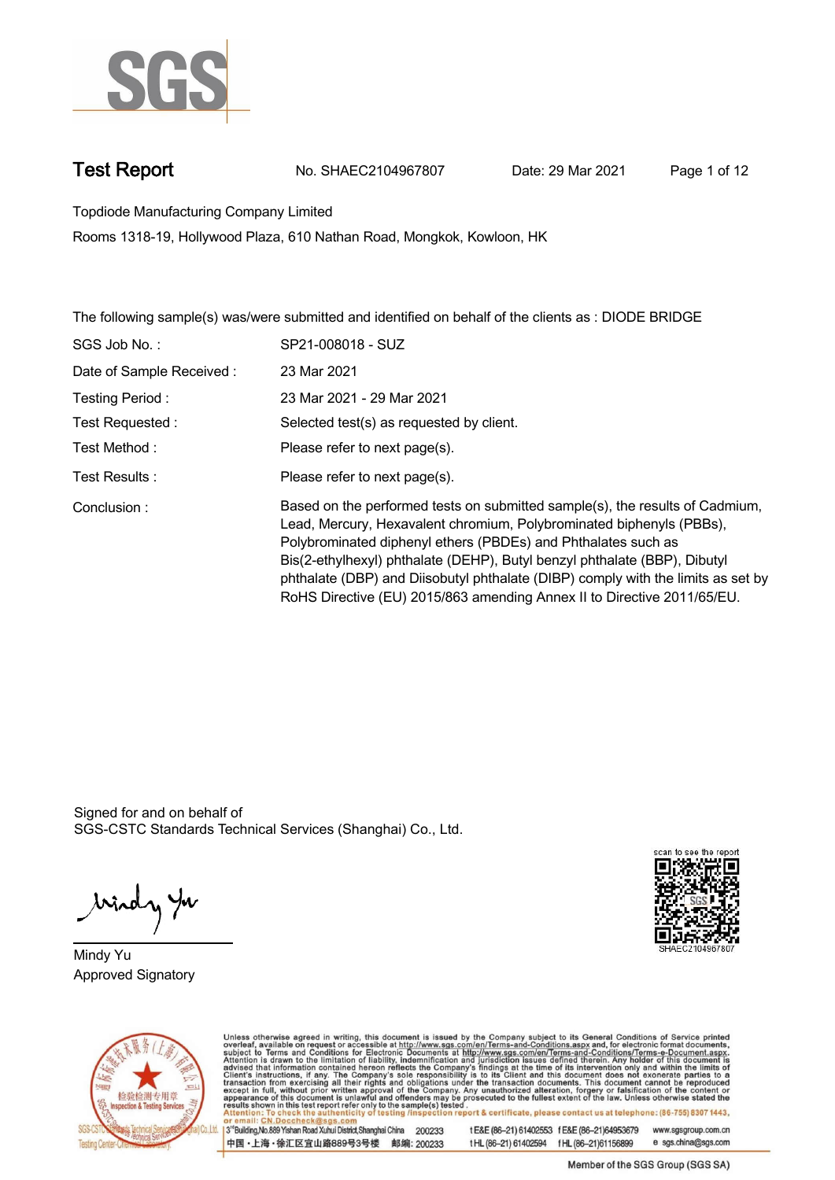

**Test Report. No. SHAEC2104967807 Date: 29 Mar 2021 . Page 1 of 12.**

**Topdiode Manufacturing Company Limited .**

**Rooms 1318-19, Hollywood Plaza, 610 Nathan Road, Mongkok, Kowloon, HK**

**The following sample(s) was/were submitted and identified on behalf of the clients as : DIODE BRIDGE .**

| SGS Job No.:             | SP21-008018 - SUZ                                                                                                                                                                                                                                                                                                                                                                                                                                                 |
|--------------------------|-------------------------------------------------------------------------------------------------------------------------------------------------------------------------------------------------------------------------------------------------------------------------------------------------------------------------------------------------------------------------------------------------------------------------------------------------------------------|
| Date of Sample Received: | 23 Mar 2021                                                                                                                                                                                                                                                                                                                                                                                                                                                       |
| Testing Period:          | 23 Mar 2021 - 29 Mar 2021                                                                                                                                                                                                                                                                                                                                                                                                                                         |
| Test Requested:          | Selected test(s) as requested by client.                                                                                                                                                                                                                                                                                                                                                                                                                          |
| Test Method :            | Please refer to next page(s).                                                                                                                                                                                                                                                                                                                                                                                                                                     |
| Test Results :           | Please refer to next page(s).                                                                                                                                                                                                                                                                                                                                                                                                                                     |
| Conclusion:              | Based on the performed tests on submitted sample(s), the results of Cadmium,<br>Lead, Mercury, Hexavalent chromium, Polybrominated biphenyls (PBBs),<br>Polybrominated diphenyl ethers (PBDEs) and Phthalates such as<br>Bis(2-ethylhexyl) phthalate (DEHP), Butyl benzyl phthalate (BBP), Dibutyl<br>phthalate (DBP) and Diisobutyl phthalate (DIBP) comply with the limits as set by<br>RoHS Directive (EU) 2015/863 amending Annex II to Directive 2011/65/EU. |

Signed for and on behalf of SGS-CSTC Standards Technical Services (Shanghai) Co., Ltd..

windy yu

**Mindy Yu. Approved Signatory .**





Unless otherwise agreed in writing, this document is issued by the Company subject to its General Conditions of Service printed overleaf, available on request or accessible at http://www.sgs.com/en/Terms-and-Conditions.asp 3<sup>rd</sup> Building, No.889 Yishan Road Xuhui District, Shanghai China 200233

中国·上海·徐汇区宜山路889号3号楼 邮编: 200233

tE&E (86-21) 61402553 fE&E (86-21)64953679 www.sgsgroup.com.cn tHL (86-21) 61402594 fHL (86-21) 61156899 e sgs.china@sgs.com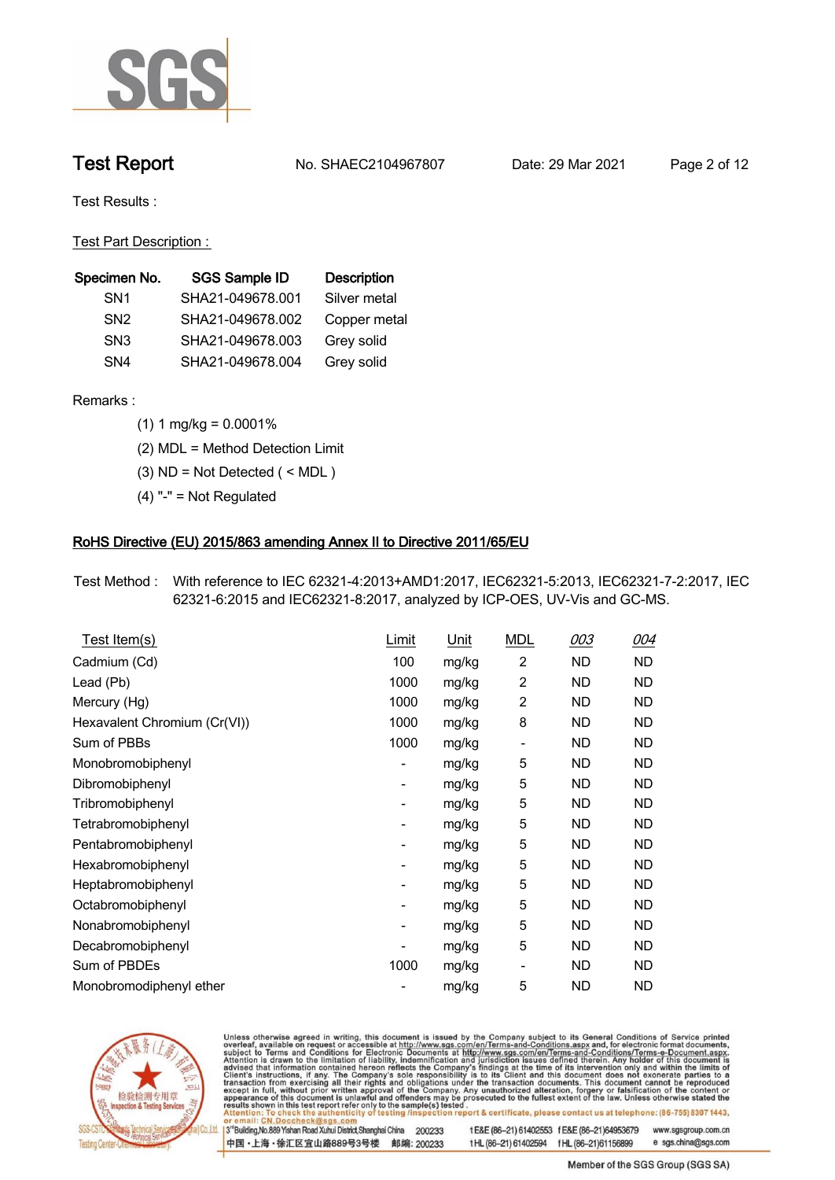

**Test Report. No. SHAEC2104967807 Date: 29 Mar 2021 . Page 2 of 12.**

**Test Results :.**

**Test Part Description : .**

| Specimen No.    | <b>SGS Sample ID</b> | <b>Description</b> |
|-----------------|----------------------|--------------------|
| SN <sub>1</sub> | SHA21-049678.001     | Silver metal       |
| SN <sub>2</sub> | SHA21-049678.002     | Copper metal       |
| SN <sub>3</sub> | SHA21-049678.003     | Grey solid         |
| SN <sub>4</sub> | SHA21-049678.004     | Grey solid         |

**Remarks :.(1) 1 mg/kg = 0.0001% .**

**(2) MDL = Method Detection Limit .**

**(3) ND = Not Detected ( < MDL ) .**

**(4) "-" = Not Regulated .**

### **RoHS Directive (EU) 2015/863 amending Annex II to Directive 2011/65/EU.**

**Test Method :. With reference to IEC 62321-4:2013+AMD1:2017, IEC62321-5:2013, IEC62321-7-2:2017, IEC 62321-6:2015 and IEC62321-8:2017, analyzed by ICP-OES, UV-Vis and GC-MS. .**

| Test Item(s)                 | <u>Limit</u>             | <u>Unit</u> | <u>MDL</u>               | <u>003</u> | <u>004</u> |
|------------------------------|--------------------------|-------------|--------------------------|------------|------------|
| Cadmium (Cd)                 | 100                      | mg/kg       | $\overline{c}$           | <b>ND</b>  | <b>ND</b>  |
| Lead (Pb)                    | 1000                     | mg/kg       | $\overline{2}$           | <b>ND</b>  | <b>ND</b>  |
| Mercury (Hg)                 | 1000                     | mg/kg       | $\overline{c}$           | ND         | ND         |
| Hexavalent Chromium (Cr(VI)) | 1000                     | mg/kg       | 8                        | ND         | ND         |
| Sum of PBBs                  | 1000                     | mg/kg       | $\overline{\phantom{a}}$ | ND         | <b>ND</b>  |
| Monobromobiphenyl            | $\overline{\phantom{a}}$ | mg/kg       | 5                        | <b>ND</b>  | ND         |
| Dibromobiphenyl              | ۰                        | mg/kg       | 5                        | <b>ND</b>  | <b>ND</b>  |
| Tribromobiphenyl             | ۰                        | mg/kg       | 5                        | <b>ND</b>  | ND         |
| Tetrabromobiphenyl           | ۰                        | mg/kg       | 5                        | ND         | ND         |
| Pentabromobiphenyl           | ۰                        | mg/kg       | 5                        | <b>ND</b>  | <b>ND</b>  |
| Hexabromobiphenyl            |                          | mg/kg       | 5                        | <b>ND</b>  | <b>ND</b>  |
| Heptabromobiphenyl           |                          | mg/kg       | 5                        | ND.        | ND.        |
| Octabromobiphenyl            | $\overline{\phantom{a}}$ | mg/kg       | 5                        | ND         | ND         |
| Nonabromobiphenyl            | -                        | mg/kg       | 5                        | ND         | ND         |
| Decabromobiphenyl            | -                        | mg/kg       | 5                        | ND         | ND         |
| Sum of PBDEs                 | 1000                     | mg/kg       | $\overline{\phantom{a}}$ | <b>ND</b>  | ND         |
| Monobromodiphenyl ether      |                          | mg/kg       | 5                        | <b>ND</b>  | <b>ND</b>  |



Unless otherwise agreed in writing, this document is issued by the Company subject to its General Conditions of Service printed overleaf, available on request or accessible at http://www.sgs.com/en/Terms-and-Conditions.asp

3<sup>rd</sup> Building, No.889 Yishan Road Xuhui District, Shanghai China 200233 中国·上海·徐汇区宜山路889号3号楼 邮编: 200233

tE&E (86-21) 61402553 fE&E (86-21)64953679 www.sgsgroup.com.cn t HL (86-21) 61402594 f HL (86-21) 61156899 e sgs.china@sgs.com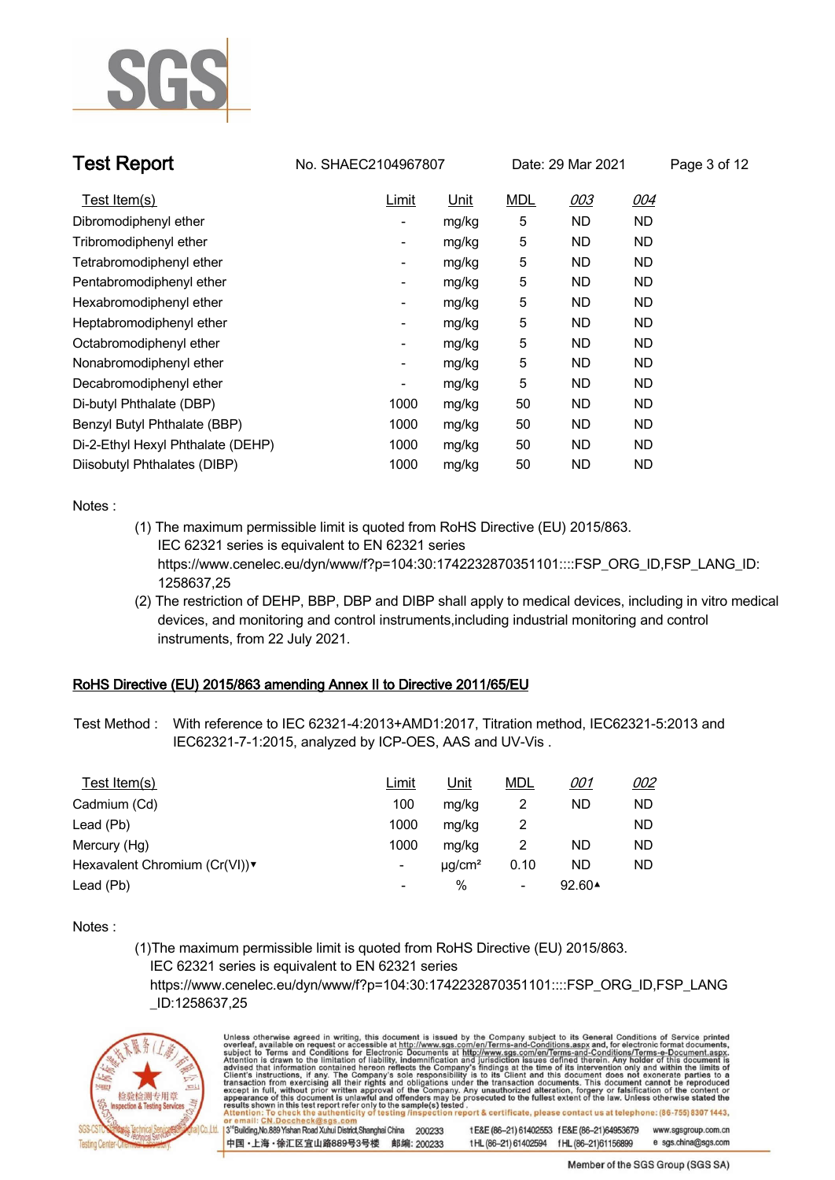

| <b>Test Report</b>                | No. SHAEC2104967807 | Date: 29 Mar 2021 |            |           | Page 3 of 12 |  |
|-----------------------------------|---------------------|-------------------|------------|-----------|--------------|--|
| Test Item(s)                      | Limit               | <u>Unit</u>       | <b>MDL</b> | 003       | <u>004</u>   |  |
| Dibromodiphenyl ether             |                     | mg/kg             | 5          | ND        | ND           |  |
| Tribromodiphenyl ether            |                     | mg/kg             | 5          | ND        | ND           |  |
| Tetrabromodiphenyl ether          |                     | mg/kg             | 5          | ND        | ND           |  |
| Pentabromodiphenyl ether          | -                   | mg/kg             | 5          | ND        | ND           |  |
| Hexabromodiphenyl ether           | -                   | mg/kg             | 5          | <b>ND</b> | ND           |  |
| Heptabromodiphenyl ether          |                     | mg/kg             | 5          | ND        | ND           |  |
| Octabromodiphenyl ether           |                     | mg/kg             | 5          | ND        | ND           |  |
| Nonabromodiphenyl ether           |                     | mg/kg             | 5          | ND        | ND           |  |
| Decabromodiphenyl ether           |                     | mg/kg             | 5          | <b>ND</b> | ND           |  |
| Di-butyl Phthalate (DBP)          | 1000                | mg/kg             | 50         | ND        | ND           |  |
| Benzyl Butyl Phthalate (BBP)      | 1000                | mg/kg             | 50         | ND        | ND           |  |
| Di-2-Ethyl Hexyl Phthalate (DEHP) | 1000                | mg/kg             | 50         | ND        | ND           |  |
| Diisobutyl Phthalates (DIBP)      | 1000                | mg/kg             | 50         | ND        | <b>ND</b>    |  |

**Notes :.**

- **(1) The maximum permissible limit is quoted from RoHS Directive (EU) 2015/863. IEC 62321 series is equivalent to EN 62321 series https://www.cenelec.eu/dyn/www/f?p=104:30:1742232870351101::::FSP\_ORG\_ID,FSP\_LANG\_ID: 1258637,25**
- **(2) The restriction of DEHP, BBP, DBP and DIBP shall apply to medical devices, including in vitro medical devices, and monitoring and control instruments,including industrial monitoring and control instruments, from 22 July 2021. .**

### **RoHS Directive (EU) 2015/863 amending Annex II to Directive 2011/65/EU.**

**Test Method :. With reference to IEC 62321-4:2013+AMD1:2017, Titration method, IEC62321-5:2013 and IEC62321-7-1:2015, analyzed by ICP-OES, AAS and UV-Vis . .**

| Test Item(s)                 | Limit                        | Unit                    | <b>MDL</b> | <u>001</u>        | <u>002</u> |
|------------------------------|------------------------------|-------------------------|------------|-------------------|------------|
| Cadmium (Cd)                 | 100                          | mg/kg                   |            | ND                | ND         |
| Lead (Pb)                    | 1000                         | mg/kg                   |            |                   | ND         |
| Mercury (Hg)                 | 1000                         | mg/kg                   |            | ND                | ND         |
| Hexavalent Chromium (Cr(VI)) | -                            | $\mu$ g/cm <sup>2</sup> | 0.10       | ND                | ND         |
| Lead (Pb)                    | $\qquad \qquad \blacksquare$ | %                       | -          | 92.60 $\triangle$ |            |

**Notes :.**

**(1)The maximum permissible limit is quoted from RoHS Directive (EU) 2015/863. IEC 62321 series is equivalent to EN 62321 series**

 **https://www.cenelec.eu/dyn/www/f?p=104:30:1742232870351101::::FSP\_ORG\_ID,FSP\_LANG \_ID:1258637,25**



Unless otherwise agreed in writing, this document is issued by the Company subject to its General Conditions of Service printed overleaf, available on request or accessible at http://www.sgs.com/en/Terms-and-Conditions.asp 3<sup>rd</sup> Building, No.889 Yishan Road Xuhui District, Shanghai China 200233 tE&E (86-21) 61402553 fE&E (86-21)64953679 www.sgsgroup.com.cn

中国·上海·徐汇区宜山路889号3号楼 邮编: 200233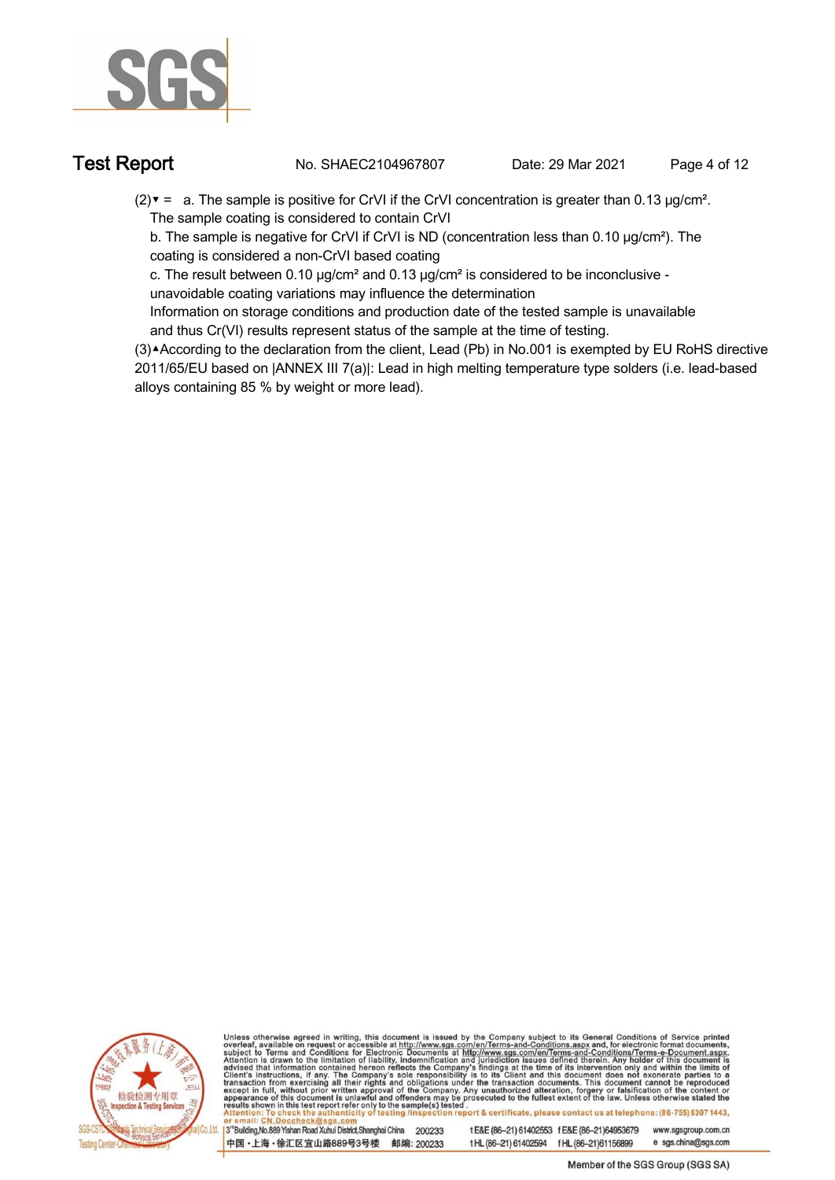

**Test Report. No. SHAEC2104967807 Date: 29 Mar 2021 . Page 4 of 12.**

**(2)▼ = a. The sample is positive for CrVI if the CrVI concentration is greater than 0.13 μg/cm². The sample coating is considered to contain CrVI**

 **b. The sample is negative for CrVI if CrVI is ND (concentration less than 0.10 μg/cm²). The coating is considered a non-CrVI based coating**

 **c. The result between 0.10 μg/cm² and 0.13 μg/cm² is considered to be inconclusive -**

 **unavoidable coating variations may influence the determination** 

 **Information on storage conditions and production date of the tested sample is unavailable and thus Cr(VI) results represent status of the sample at the time of testing.**

**(3)▲According to the declaration from the client, Lead (Pb) in No.001 is exempted by EU RoHS directive 2011/65/EU based on |ANNEX III 7(a)|: Lead in high melting temperature type solders (i.e. lead-based alloys containing 85 % by weight or more lead). .**



Unless otherwise agreed in writing, this document is issued by the Company subject to its General Conditions of Service printed overleaf, available on request or accessible at http://www.sgs.com/en/Terms-and-Conditions.asp

3<sup>14</sup> Building, No.889 Yishan Road Xuhui District, Shanghai China 200233 中国·上海·徐汇区宜山路889号3号楼 邮编: 200233

tE&E (86-21) 61402553 fE&E (86-21)64953679 www.sgsgroup.com.cn t HL (86-21) 61402594 f HL (86-21) 61156899 e sgs.china@sgs.com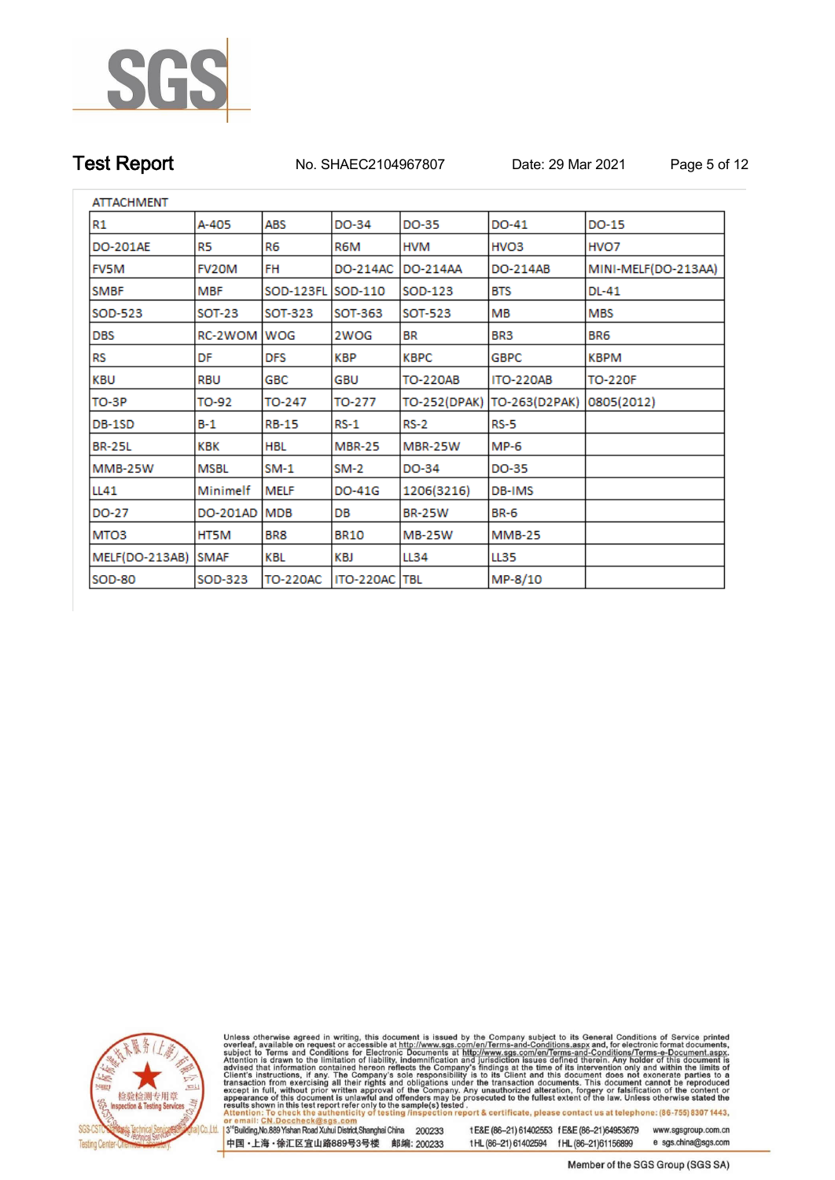

**Test Report. No. SHAEC2104967807 Date: 29 Mar 2021 . Page 5 of 12.**

| <b>ATTACHMENT</b> |               |                 |               |               |                  |                     |
|-------------------|---------------|-----------------|---------------|---------------|------------------|---------------------|
| R1                | A-405         | ABS             | DO-34         | DO-35         | DO-41            | <b>DO-15</b>        |
| <b>DO-201AE</b>   | R5            | R6              | R6M           | HVM           | HVO <sub>3</sub> | HVO7                |
| <b>FV5M</b>       | FV20M         | FH              | DO-214AC      | DO-214AA      | DO-214AB         | MINI-MELF(DO-213AA) |
| <b>SMBF</b>       | <b>MBF</b>    | SOD-123FL       | SOD-110       | SOD-123       | <b>BTS</b>       | DL-41               |
| SOD-523           | <b>SOT-23</b> | SOT-323         | SOT-363       | SOT-523       | мв               | <b>MBS</b>          |
| <b>DBS</b>        | RC-2WOM       | WOG             | 2WOG          | BR.           | BR3              | BR <sub>6</sub>     |
| RS                | DF            | DFS             | KBP           | KBPC          | <b>GBPC</b>      | KBPM                |
| KBU               | RBU           | GBC             | GBU           | TO-220AB      | <b>ITO-220AB</b> | <b>TO-220F</b>      |
| TO-3P             | TO-92         | TO-247          | TO-277        | TO-252(DPAK)  | TO-263(D2PAK)    | 0805(2012)          |
| DB-1SD            | $B-1$         | <b>RB-15</b>    | $RS-1$        | <b>RS-2</b>   | <b>RS-5</b>      |                     |
| <b>BR-25L</b>     | KBK           | HBL             | <b>MBR-25</b> | MBR-25W       | MP-6             |                     |
| MMB-25W           | <b>MSBL</b>   | SM-1            | SM-2          | DO-34         | DO-35            |                     |
| LL41              | Minimelf      | MELF            | DO-41G        | 1206(3216)    | DB-IMS           |                     |
| DO-27             | DO-201AD      | <b>MDB</b>      | DB            | <b>BR-25W</b> | <b>BR-6</b>      |                     |
| MTO <sub>3</sub>  | HT5M          | BR8             | <b>BR10</b>   | MB-25W        | <b>MMB-25</b>    |                     |
| MELF(DO-213AB)    | <b>SMAF</b>   | KBL             | KBJ           | LL34          | <b>LL35</b>      |                     |
| <b>SOD-80</b>     | SOD-323       | <b>TO-220AC</b> | ITO-220AC     | TBL           | MP-8/10          |                     |



Unless otherwise agreed in writing, this document is issued by the Company subject to its General Conditions of Service printed overleaf, available on request or accessible at http://www.sgs.com/en/Terms-and-Conditions.asp

3<sup>rd</sup>Building, No.889 Yishan Road Xuhui District, Shanghai China 200233 中国·上海·徐汇区宜山路889号3号楼 邮编: 200233

tE&E (86-21) 61402553 fE&E (86-21)64953679 www.sgsgroup.com.cn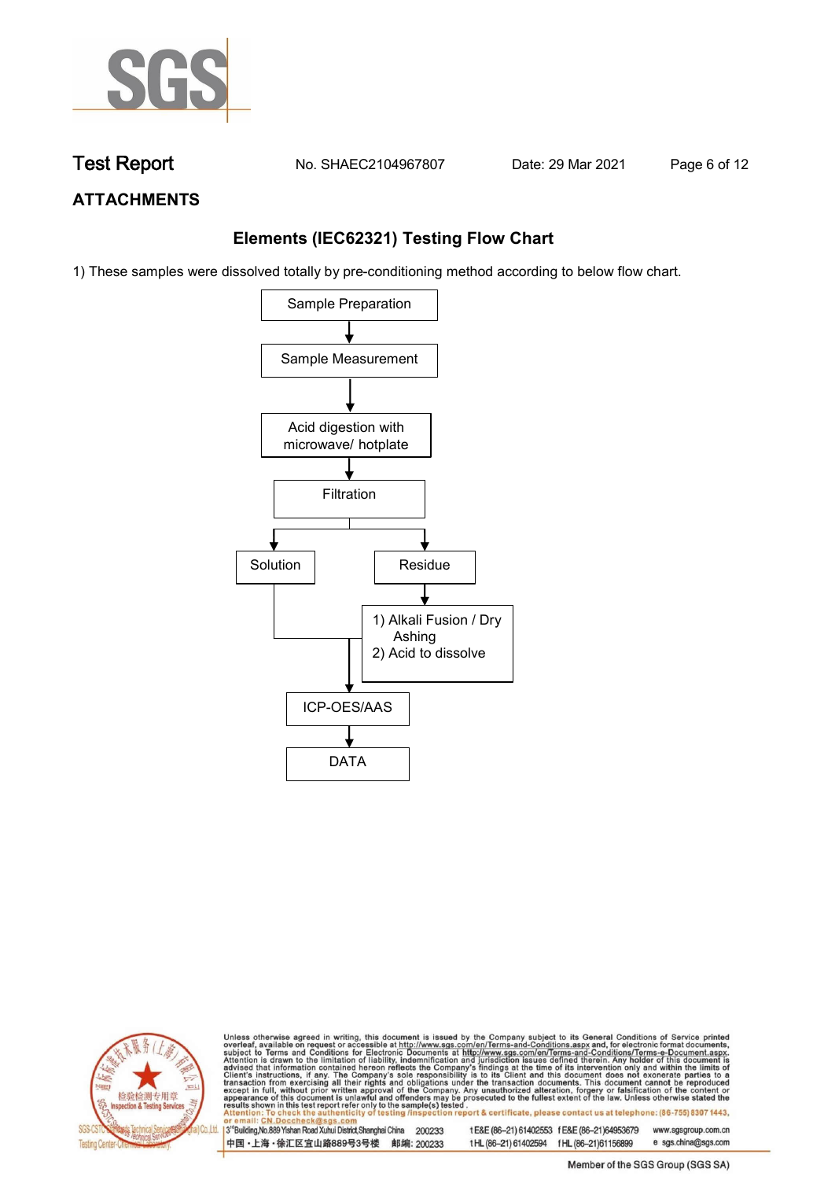

**Test Report. No. SHAEC2104967807 Date: 29 Mar 2021 . Page 6 of 12.**

## **ATTACHMENTS**

### **Elements (IEC62321) Testing Flow Chart**

1) These samples were dissolved totally by pre-conditioning method according to below flow chart.





Unless otherwise agreed in writing, this document is issued by the Company subject to its General Conditions of Service printed overleaf, available on request or accessible at http://www.sgs.com/en/Terms-and-Conditions.asp

3<sup>rd</sup> Building, No.889 Yishan Road Xuhui District, Shanghai China 200233 中国·上海·徐汇区宜山路889号3号楼 邮编: 200233 tE&E (86-21) 61402553 fE&E (86-21)64953679 www.sgsgroup.com.cn

e sgs.china@sgs.com t HL (86-21) 61402594 f HL (86-21) 61156899 Member of the SGS Group (SGS SA)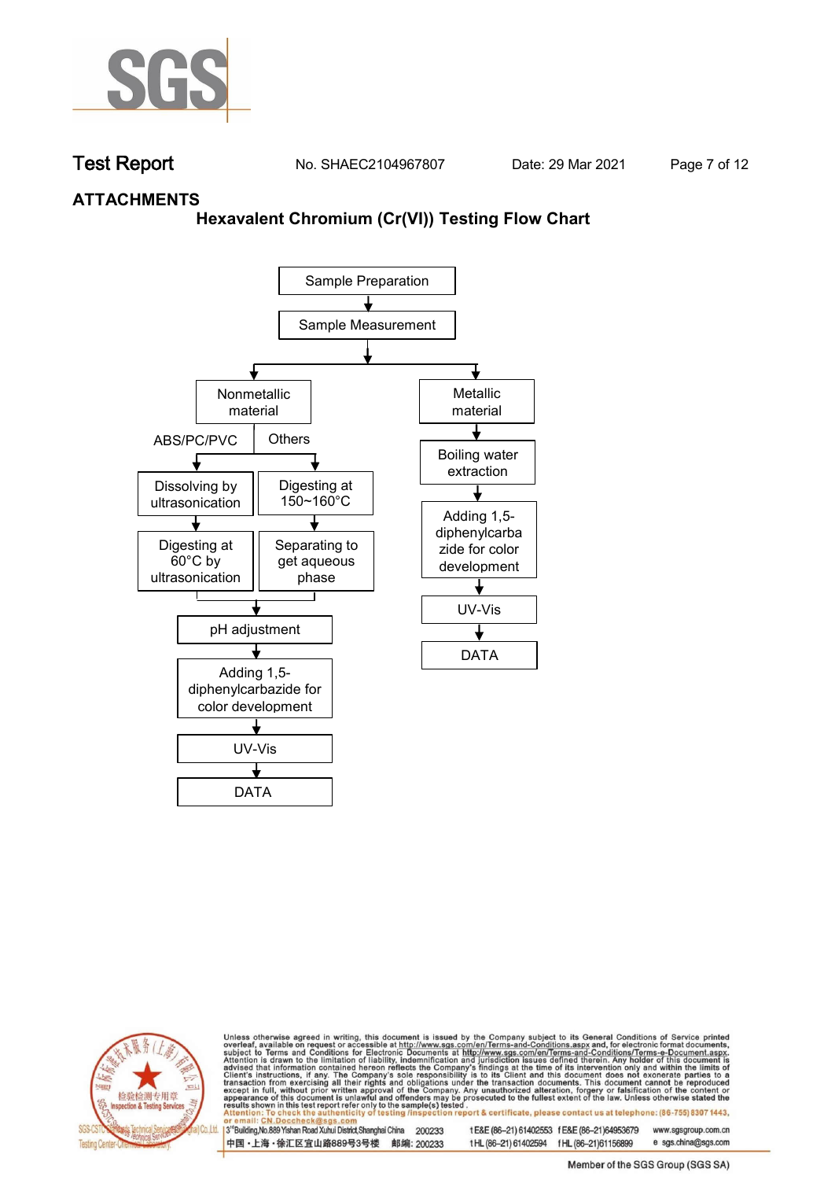

**Test Report. No. SHAEC2104967807 Date: 29 Mar 2021 . Page 7 of 12.**

### **ATTACHMENTS**

### **Hexavalent Chromium (Cr(VI)) Testing Flow Chart**





Unless otherwise agreed in writing, this document is issued by the Company subject to its General Conditions of Service printed overleaf, available on request or accessible at http://www.sgs.com/en/Terms-and-Conditions.asp

3<sup>rd</sup> Building, No.889 Yishan Road Xuhui District, Shanghai China 200233 中国·上海·徐汇区宜山路889号3号楼 邮编: 200233 tE&E (86-21) 61402553 fE&E (86-21)64953679 www.sgsgroup.com.cn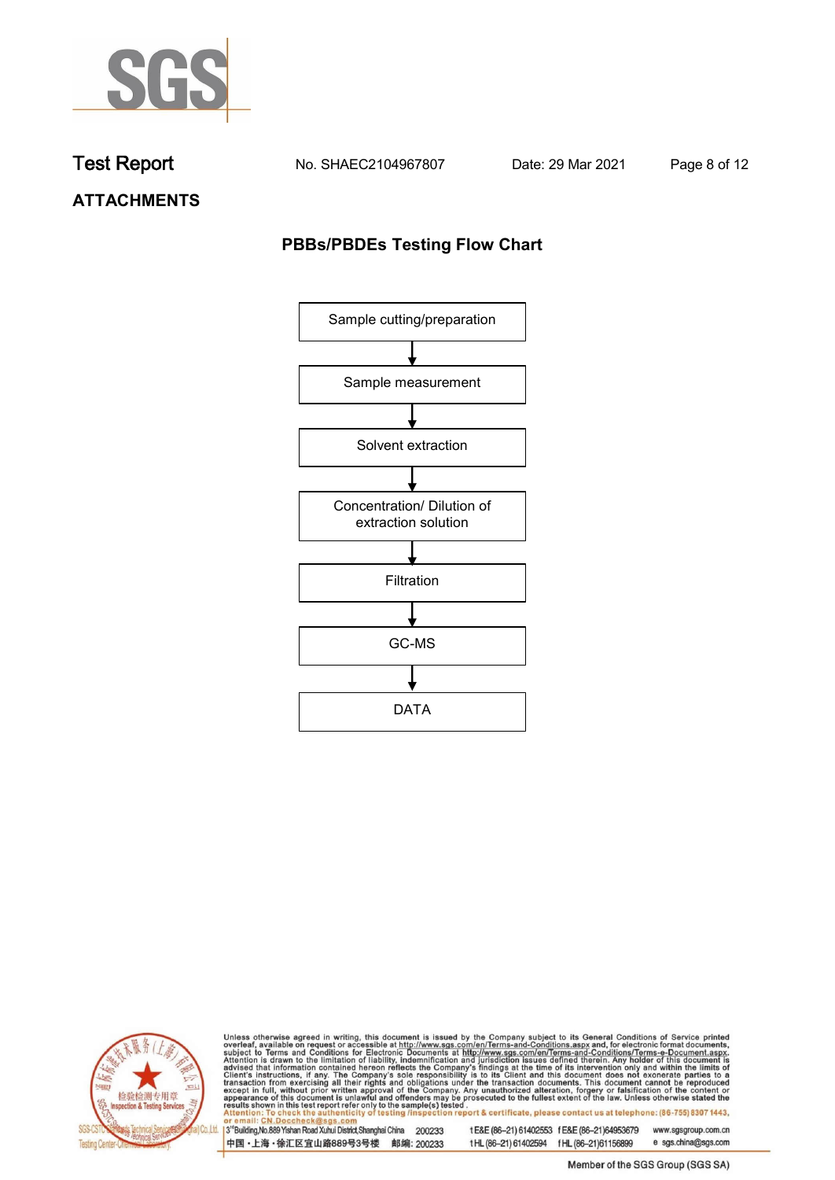

**Test Report. No. SHAEC2104967807 Date: 29 Mar 2021 . Page 8 of 12.**

**ATTACHMENTS**

## **PBBs/PBDEs Testing Flow Chart**





Unless otherwise agreed in writing, this document is issued by the Company subject to its General Conditions of Service printed overleaf, available on request or accessible at http://www.sgs.com/en/Terms-and-Conditions.asp

3<sup>rd</sup>Building, No.889 Yishan Road Xuhui District, Shanghai China 200233 中国·上海·徐汇区宜山路889号3号楼 邮编: 200233

tE&E (86-21) 61402553 fE&E (86-21)64953679 www.sgsgroup.com.cn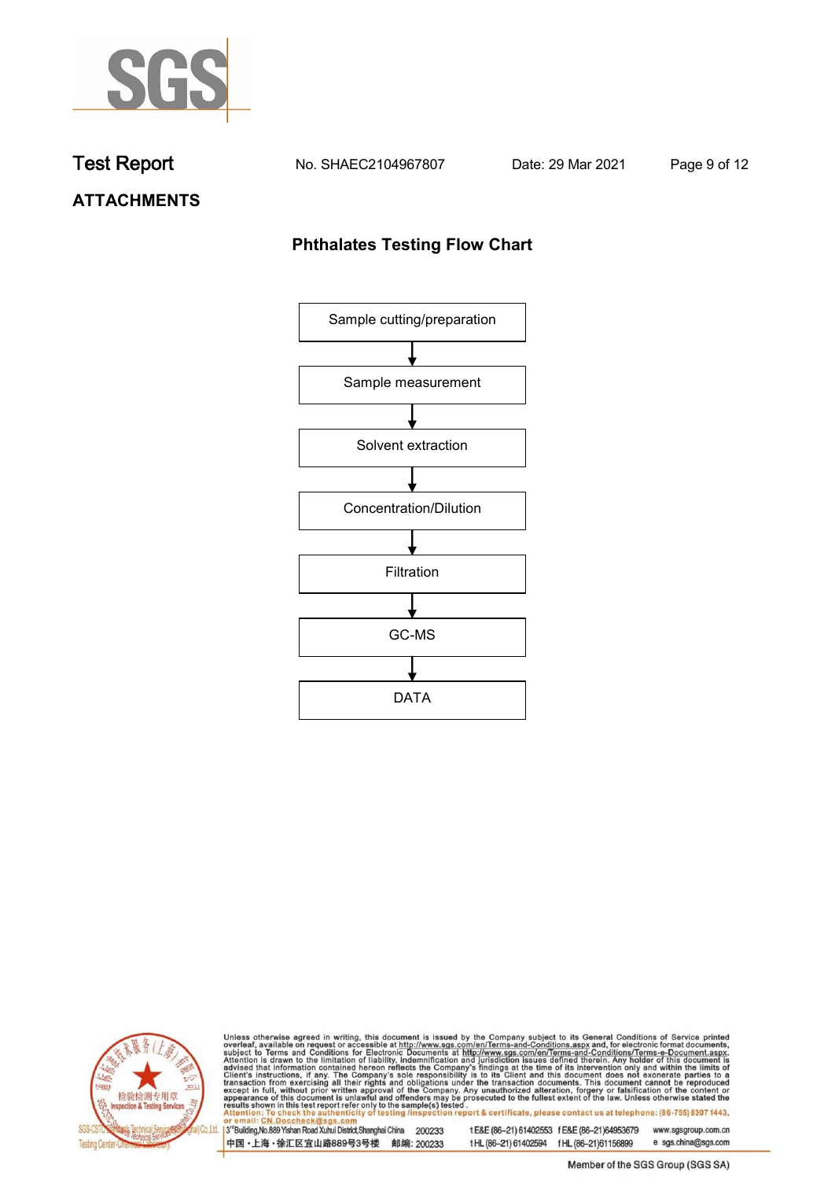

**Test Report. No. SHAEC2104967807 Date: 29 Mar 2021 . Page 9 of 12.**

# **ATTACHMENTS**

### **Phthalates Testing Flow Chart**





Unless otherwise agreed in writing, this document is issued by the Company subject to its General Conditions of Service printed overleaf, available on request or accessible at http://www.sgs.com/en/Terms-and-Conditions.asp

3<sup>rd</sup>Building, No.889 Yishan Road Xuhui District, Shanghai China 200233 中国·上海·徐汇区宜山路889号3号楼 邮编: 200233

tE&E (86-21) 61402553 fE&E (86-21)64953679 www.sgsgroup.com.cn

e sgs.china@sgs.com t HL (86-21) 61402594 f HL (86-21) 61156899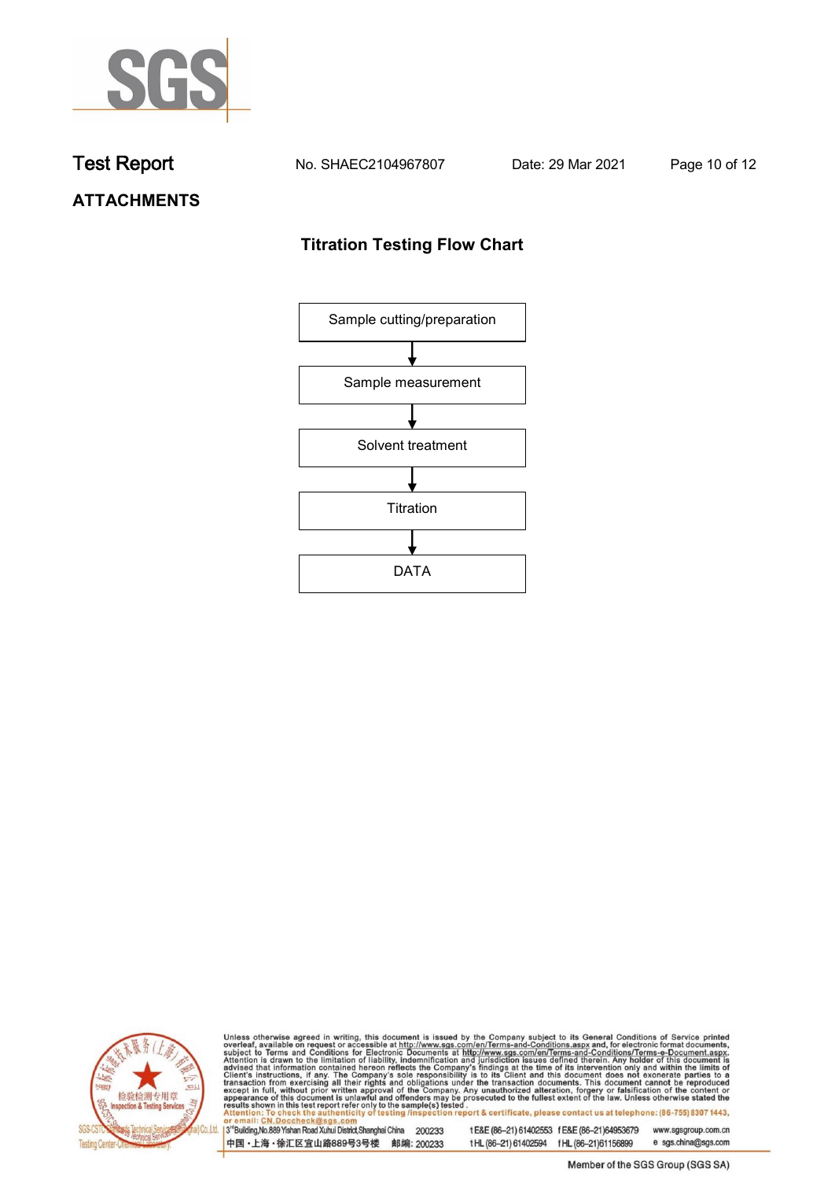

**Test Report. No. SHAEC2104967807 Date: 29 Mar 2021 . Page 10 of 12.**

# **ATTACHMENTS**

## **Titration Testing Flow Chart**





Unless otherwise agreed in writing, this document is issued by the Company subject to its General Conditions of Service printed overleaf, available on request or accessible at http://www.sgs.com/en/Terms-and-Conditions.asp

3<sup>rd</sup>Building, No.889 Yishan Road Xuhui District, Shanghai China 200233 中国·上海·徐汇区宜山路889号3号楼 邮编: 200233

tE&E (86-21) 61402553 fE&E (86-21)64953679 www.sgsgroup.com.cn

t HL (86-21) 61402594 f HL (86-21) 61156899 e sgs.china@sgs.com Member of the SGS Group (SGS SA)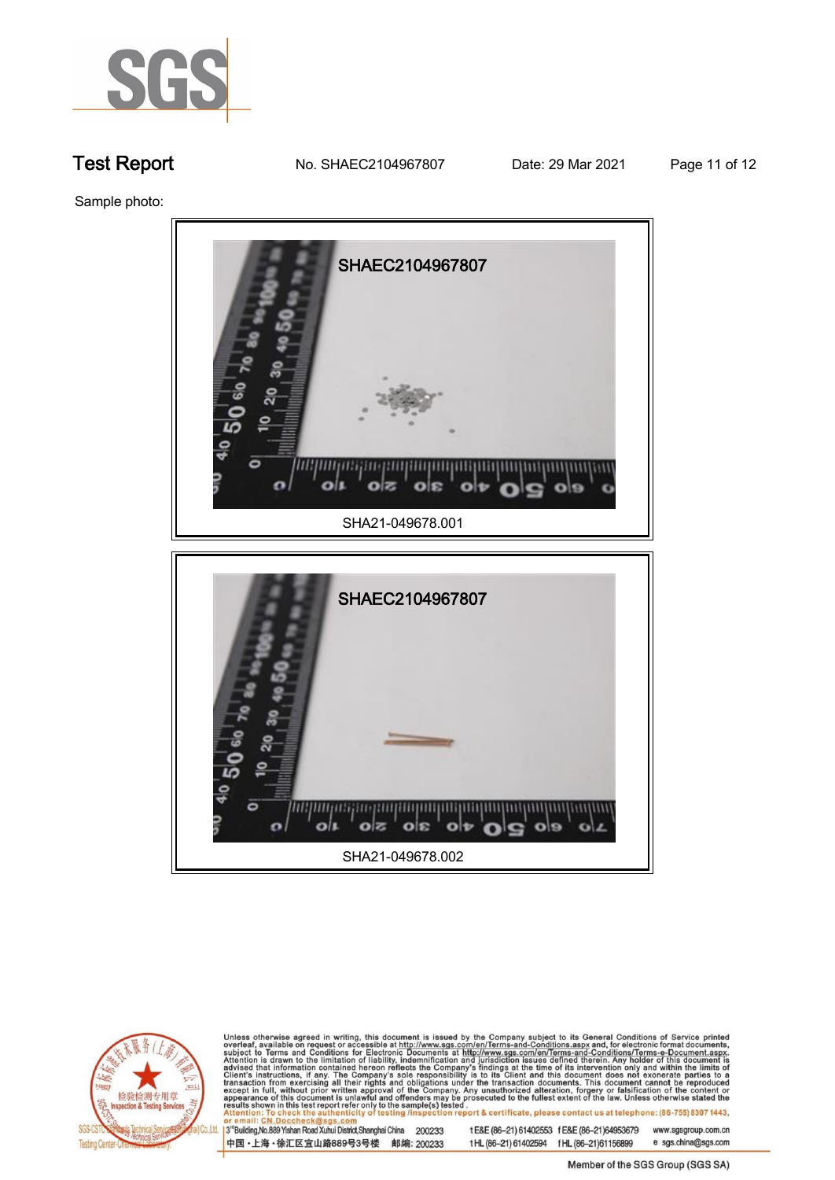

**Test Report No. SHAEC2104967807** Date: 29 Mar 2021 **Page 11 of 12** 

**Sample photo:.**



**SHA21-049678.002.**

 $o$   $s$ 

 $|o|z$ 

olt



Unless otherwise agreed in writing, this document is issued by the Company subject to its General Conditions of Service printed overleaf, available on request or accessible at http://www.sgs.com/en/Terms-and-Conditions.asp

3<sup>'</sup>Building, No.889 Yishan Road Xuhui District, Shanghai China 200233 中国·上海·徐汇区宜山路889号3号楼 邮编: 200233

 $\overline{c}$ 

 $\bullet$ 

 $_{ols}$ 

tE&E (86-21) 61402553 fE&E (86-21)64953679 www.sgsgroup.com.cn

 $\mathbf{e}$ o

 $\Omega$